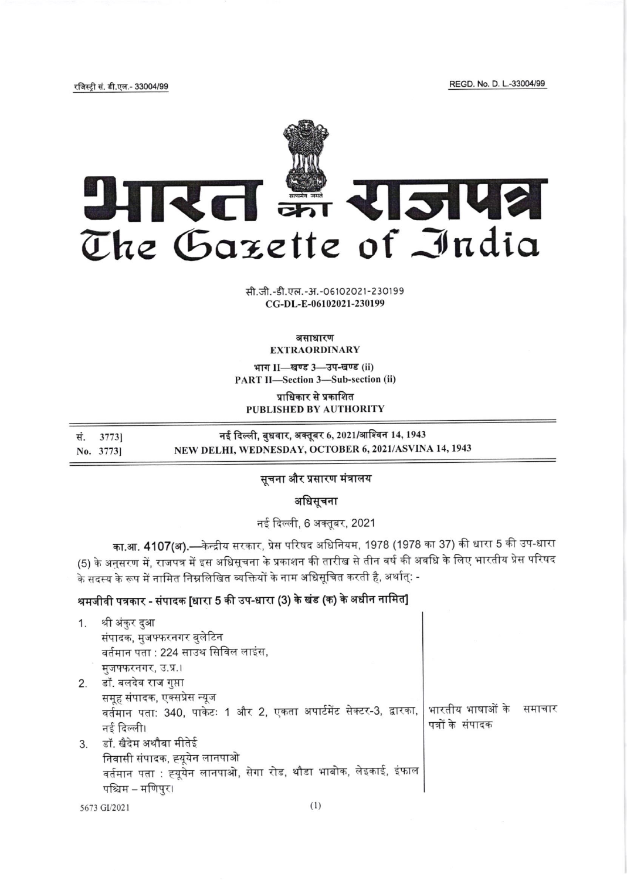REGD. No. D. L.-33004/99

रजिस्ट्री सं. डी.एल.- 33004/99



सी.जी.-डी.एल.-अ.-06102021-230199 CG-DL-E-06102021-230199

#### असाधारण **EXTRAORDINARY**

भाग II-खण्ड 3-उप-खण्ड (ii) **PART II-Section 3-Sub-section (ii)** 

प्राधिकार से प्रकाशित PUBLISHED BY AUTHORITY

नई दिल्ली, बुधवार, अक्तूबर 6, 2021/आश्विन 14, 1943 सं. 3773] NEW DELHI, WEDNESDAY, OCTOBER 6, 2021/ASVINA 14, 1943 No. 3773]

### सूचना और प्रसारण मंत्रालय

अधिसूचना

नई दिल्ली, 6 अक्तूबर, 2021

का.आ. 4107(अ).—केन्द्रीय सरकार, प्रेस परिषद अधिनियम, 1978 (1978 का 37) की धारा 5 की उप-धारा (5) के अनुसरण में, राजपत्र में इस अधिसूचना के प्रकाशन की तारीख से तीन वर्ष की अवधि के लिए भारतीय प्रेस परिषद .<br>के सदस्य के रूप में नामित निम्नलिखित व्यक्तियों के नाम अधिसूचित करती है, अर्थात्: -

## श्रमजीवी पत्रकार - संपादक [धारा 5 की उप-धारा (3) के खंड (क) के अधीन नामित]

| 1. | श्री अंकुर दुआ                                                      |                           |  |
|----|---------------------------------------------------------------------|---------------------------|--|
|    | संपादक, मुजफ्फरनगर बुलेटिन                                          |                           |  |
|    | वर्तमान पता : 224 साउथ सिविल लाइंस,                                 |                           |  |
|    | मुजफ्फरनगर, उ.प्र.।                                                 |                           |  |
|    | 2. डॉ. बलदेव राज गुप्ता                                             |                           |  |
|    | समूह संपादक, एक्सप्रेस न्यूज                                        |                           |  |
|    | वर्तमान पता: 340, पाकेटः 1 और 2, एकता अपार्टमेंट सेक्टर-3, द्वारका, | भारतीय भाषाओं के   समाचार |  |
|    | नई दिल्ली।                                                          | पत्रों के संपादक          |  |
|    | 3. डॉ. खैदेम अथौबा मीतेई                                            |                           |  |
|    | निवासी संपादक, ह्यूयेन लानपाओ                                       |                           |  |
|    | वर्तमान पता : ह्यूयेन लानपाओ, सेगा रोड, थौडा भाबोक, लेइकाई, इंफाल   |                           |  |
|    | पश्चिम – मणिपुर।                                                    |                           |  |
|    | 5673 GI/2021                                                        |                           |  |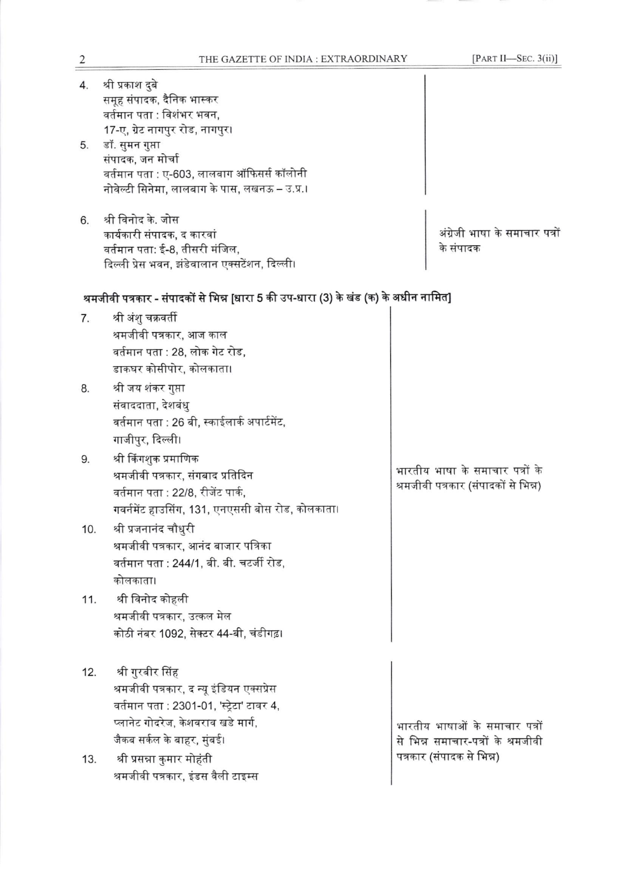| 4.<br>5. | श्री प्रकाश दुबे<br>समूह संपादक, दैनिक भास्कर<br>वर्तमान पता : विशंभर भवन,<br>17-ए, ग्रेट नागपुर रोड, नागपुर।<br>डॉ. सुमन गुप्ता<br>संपादक, जन मोर्चा<br>वर्तमान पता : ए-603, लालबाग ऑफिसर्स कॉलोनी<br>नोवेल्टी सिनेमा, लालबाग के पास, लखनऊ – उ.प्र.। |                                                                         |
|----------|-------------------------------------------------------------------------------------------------------------------------------------------------------------------------------------------------------------------------------------------------------|-------------------------------------------------------------------------|
| 6.       | श्री विनोद के. जोस<br>कार्यकारी संपादक, द कारवां<br>वर्तमान पता: ई-8, तीसरी मंजिल,<br>दिल्ली प्रेस भवन, झंडेवालान एक्सटेंशन, दिल्ली।                                                                                                                  | अंग्रेजी भाषा के समाचार पत्रों<br>के संपादक                             |
|          | श्रमजीवी पत्रकार - संपादकों से भिन्न [धारा 5 की उप-धारा (3) के खंड (क) के अधीन नामित]                                                                                                                                                                 |                                                                         |
| 7.       | श्री अंशु चक्रवर्ती<br>श्रमजीवी पत्रकार, आज काल<br>वर्तमान पता : 28, लोक गेट रोड,<br>डाकघर कोसीपोर, कोलकाता।                                                                                                                                          |                                                                         |
| 8.       | श्री जय शंकर गुप्ता<br>संवाददाता, देशबंधु<br>वर्तमान पता : 26 बी, स्काईलार्क अपार्टमेंट,<br>गाजीपुर, दिल्ली।                                                                                                                                          |                                                                         |
| 9.       | श्री किंगशुक प्रमाणिक<br>श्रमजीवी पत्रकार, संगबाद प्रतिदिन<br>वर्तमान पता : 22/8, रीजेंट पार्क,<br>गवर्नमेंट हाउसिंग, 131, एनएससी बोस रोड, कोलकाता।                                                                                                   | भारतीय भाषा के समाचार पत्रों के<br>श्रमजीवी पत्रकार (संपादकों से भिन्न) |
| 10.      | श्री प्रजनानंद चौधुरी<br>श्रमजीवी पत्रकार, आनंद बाजार पत्रिका<br>वर्तमान पता : 244/1, बी. बी. चटर्जी रोड,<br>कोलकाता।                                                                                                                                 |                                                                         |
| 11.      | श्री विनोद कोहली<br>श्रमजीवी पत्रकार, उत्कल मेल<br>कोठी नंबर 1092, सेक्टर 44-बी, चंडीगढ़।                                                                                                                                                             |                                                                         |
| 12.      | श्री गुरबीर सिंह<br>श्रमजीवी पत्रकार, द न्यू इंडियन एक्सप्रेस<br>वर्तमान पता : 2301-01, 'स्ट्रेटा' टावर 4,<br>प्लानेट गोदरेज, केशवराव खडे मार्ग,<br>जैकब सर्कल के बाहर, मुंबई।                                                                        | भारतीय भाषाओं के समाचार पत्रों<br>से भिन्न समाचार-पत्रों के श्रमजीवी    |
| 13.      | श्री प्रसन्ना कुमार मोहंती<br>श्रमजीवी पत्रकार, इंडस वैली टाइम्स                                                                                                                                                                                      | पत्रकार (संपादक से भिन्न)                                               |

 $\frac{2}{\sqrt{2}}$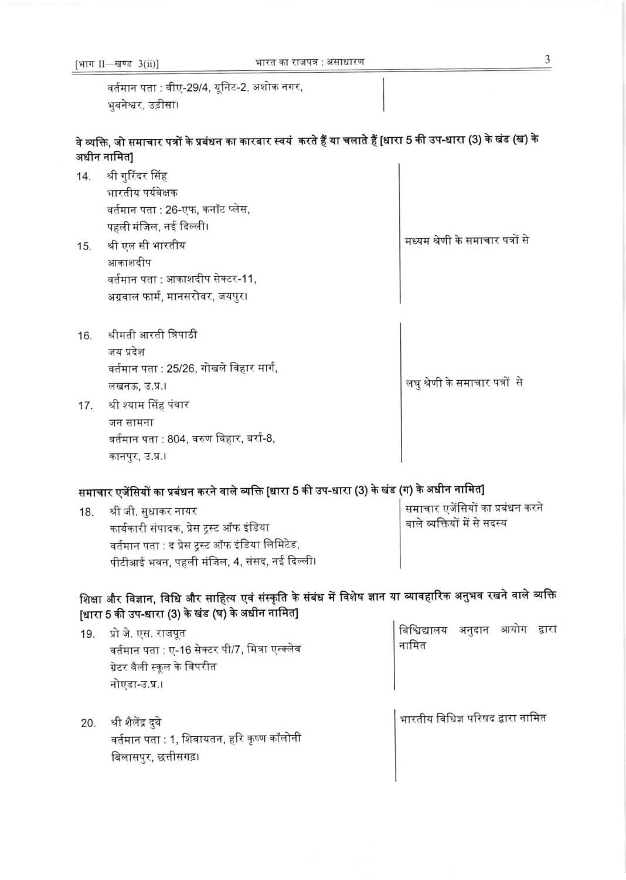[भाग II- खण्ड 3(ii)]

वर्तमान पता : वीए-29/4, यूनिट-2, अशोक नगर, भुबनेश्वर, उड़ीसा।

वे व्यक्ति, जो समाचार पत्रों के प्रबंधन का कारबार स्वयं करते हैं या चलाते हैं [धारा 5 की उप-धारा (3) के खंड (ख) के अधीन नामित]  $\mathbf{I}$ 

| 14. | श्री गुरिंदर सिंह                |                                  |
|-----|----------------------------------|----------------------------------|
|     | भारतीय पर्यवेक्षक                |                                  |
|     | वर्तमान पता : 26-एफ, कनॉट प्लेस, |                                  |
|     | पहली मंजिल, नई दिल्ली।           |                                  |
| 15. | श्री एल सी भारतीय                | मध्यम श्रेणी के समाचार पत्रों से |
|     | आकाशदीप                          |                                  |
|     | वर्तमान पता : आकाशदीप सेक्टर-11, |                                  |
|     | अग्रवाल फार्म, मानसरोवर, जयपुर।  |                                  |
|     |                                  |                                  |
|     |                                  |                                  |

- 16. श्रीमती आरती त्रिपाठी जय प्रदेश वर्तमान पता : 25/26, गोखले विहार मार्ग, लखनऊ, उ.प्र.।
- 17. श्री श्याम सिंह पंवार जन सामना वर्तमान पता : 804, वरुण विहार, बर्रा-8, कानपुर, उ.प्र.।

# समाचार एजेंसियों का प्रबंधन करने वाले व्यक्ति [धारा 5 की उप-धारा (3) के खंड (ग) के अधीन नामित]

| 18. | श्री जी. सुधाकर नायर                            | समाचार एजेंसियों का प्रबंधन करने          |
|-----|-------------------------------------------------|-------------------------------------------|
|     | कार्यकारी संपादक, प्रेस ट्रस्ट ऑफ इंडिया        | <sup>।</sup> वाले व्यक्तियों में से सदस्य |
|     | वर्तमान पता : द प्रेस ट्रस्ट ऑफ इंडिया लिमिटेड, |                                           |
|     | पीटीआई भवन, पहली मंजिल, 4, संसद, नई दिल्ली।     |                                           |

# शिक्षा और विज्ञान, विधि और साहित्य एवं संस्कृति के संबंध में विशेष ज्ञान या व्यावहारिक अनुभव रखने वाले व्यक्ति [धारा 5 की उप-धारा (3) के खंड (घ) के अधीन नामित]

| 19. | प्रो जे. एस. राजपूत<br>वर्तमान पता : ए-16 सेक्टर पी/7, मित्रा एन्क्लेव<br>ग्रेटर वैली स्कूल के विपरीत<br>नोएडा-उ.प्र.। | विश्विद्यालय<br>नामित             | अनुदान | आयोग | द्वारा |
|-----|------------------------------------------------------------------------------------------------------------------------|-----------------------------------|--------|------|--------|
| 20. | श्री शैलेंद्र दुबे<br>वर्तमान पता : 1, शिवायतन, हरि कृष्ण कॉलोनी<br>बिलासपुर, छत्तीसगढ़।                               | भारतीय विधिज्ञ परिषद द्वारा नामित |        |      |        |

लघु श्रेणी के समाचार पत्रों से